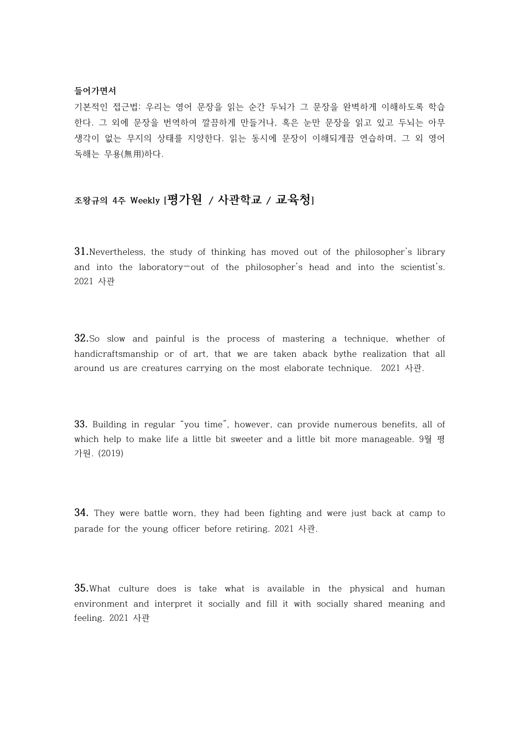## **들어가면서**

기본적인 접근법: 우리는 영어 문장을 읽는 순간 두뇌가 그 문장을 완벽하게 이해하도록 학습 한다. 그 외에 문장을 번역하여 깔끔하게 만들거나, 혹은 눈만 문장을 읽고 있고 두뇌는 아무 생각이 없는 무지의 상태를 지양한다. 읽는 동시에 문장이 이해되게끔 연습하며, 그 외 영어 독해는 무용(無用)하다.

## **조왕규의 4주 Weekly [평가원 / 사관학교 / 교육청]**

**31.**Nevertheless, the study of thinking has moved out of the philosopher's library and into the laboratory—out of the philosopher's head and into the scientist's. 2021 사관

**32.**So slow and painful is the process of mastering a technique, whether of handicraftsmanship or of art, that we are taken aback bythe realization that all around us are creatures carrying on the most elaborate technique. 2021 사관.

**33.** Building in regular "you time", however, can provide numerous benefits, all of which help to make life a little bit sweeter and a little bit more manageable. 9월 평 가원. (2019)

**34.** They were battle worn, they had been fighting and were just back at camp to parade for the young officer before retiring. 2021 사관.

**35.**What culture does is take what is available in the physical and human environment and interpret it socially and fill it with socially shared meaning and feeling. 2021 사관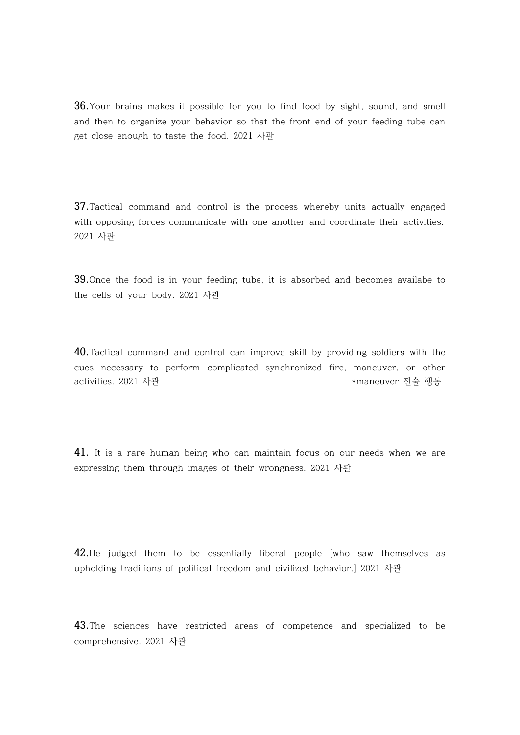**36.**Your brains makes it possible for you to find food by sight, sound, and smell and then to organize your behavior so that the front end of your feeding tube can get close enough to taste the food. 2021 사관

**37.**Tactical command and control is the process whereby units actually engaged with opposing forces communicate with one another and coordinate their activities. 2021 사관

**39.**Once the food is in your feeding tube, it is absorbed and becomes availabe to the cells of your body. 2021 사관

**40.**Tactical command and control can improve skill by providing soldiers with the cues necessary to perform complicated synchronized fire, maneuver, or other activities. 2021 사관 \*maneuver 전술 행동

**41.** It is a rare human being who can maintain focus on our needs when we are expressing them through images of their wrongness. 2021 사관

**42.**He judged them to be essentially liberal people [who saw themselves as upholding traditions of political freedom and civilized behavior.] 2021 사관

**43.**The sciences have restricted areas of competence and specialized to be comprehensive. 2021 사관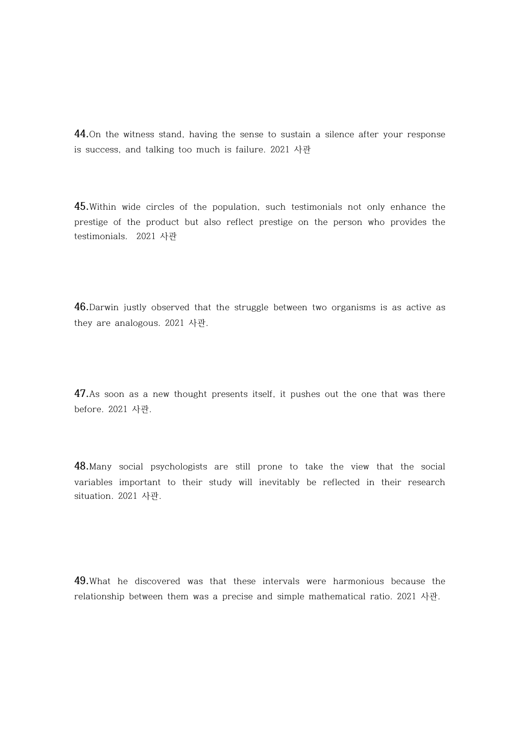**44.**On the witness stand, having the sense to sustain a silence after your response is success, and talking too much is failure. 2021 사관

**45.**Within wide circles of the population, such testimonials not only enhance the prestige of the product but also reflect prestige on the person who provides the testimonials. 2021 사관

**46.**Darwin justly observed that the struggle between two organisms is as active as they are analogous. 2021 사관.

**47.**As soon as a new thought presents itself, it pushes out the one that was there before. 2021 사관.

**48.**Many social psychologists are still prone to take the view that the social variables important to their study will inevitably be reflected in their research situation. 2021 사관.

**49.**What he discovered was that these intervals were harmonious because the relationship between them was a precise and simple mathematical ratio. 2021 사관.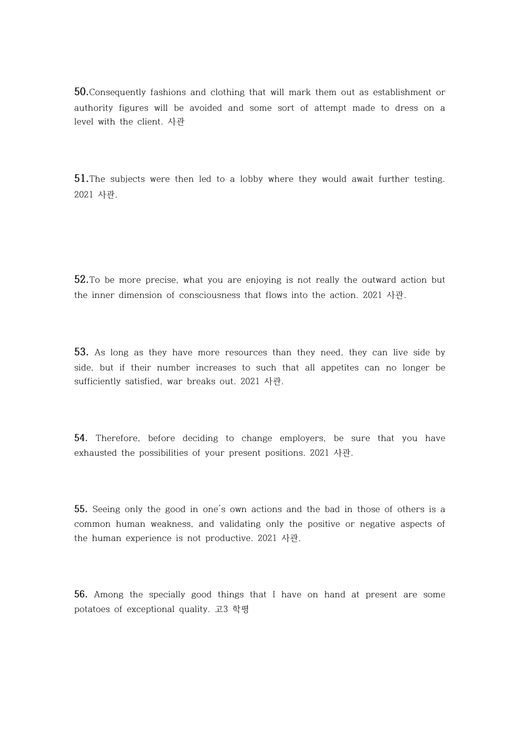**50.**Consequently fashions and clothing that will mark them out as establishment or authority figures will be avoided and some sort of attempt made to dress on a level with the client. 사관

**51.**The subjects were then led to a lobby where they would await further testing. 2021 사관.

**52.**To be more precise, what you are enjoying is not really the outward action but the inner dimension of consciousness that flows into the action. 2021 사관.

**53.** As long as they have more resources than they need, they can live side by side, but if their number increases to such that all appetites can no longer be sufficiently satisfied, war breaks out. 2021 사관.

**54.** Therefore, before deciding to change employers, be sure that you have exhausted the possibilities of your present positions. 2021 사관.

**55.** Seeing only the good in one's own actions and the bad in those of others is a common human weakness, and validating only the positive or negative aspects of the human experience is not productive. 2021 사관.

**56.** Among the specially good things that I have on hand at present are some potatoes of exceptional quality. 고3 학평